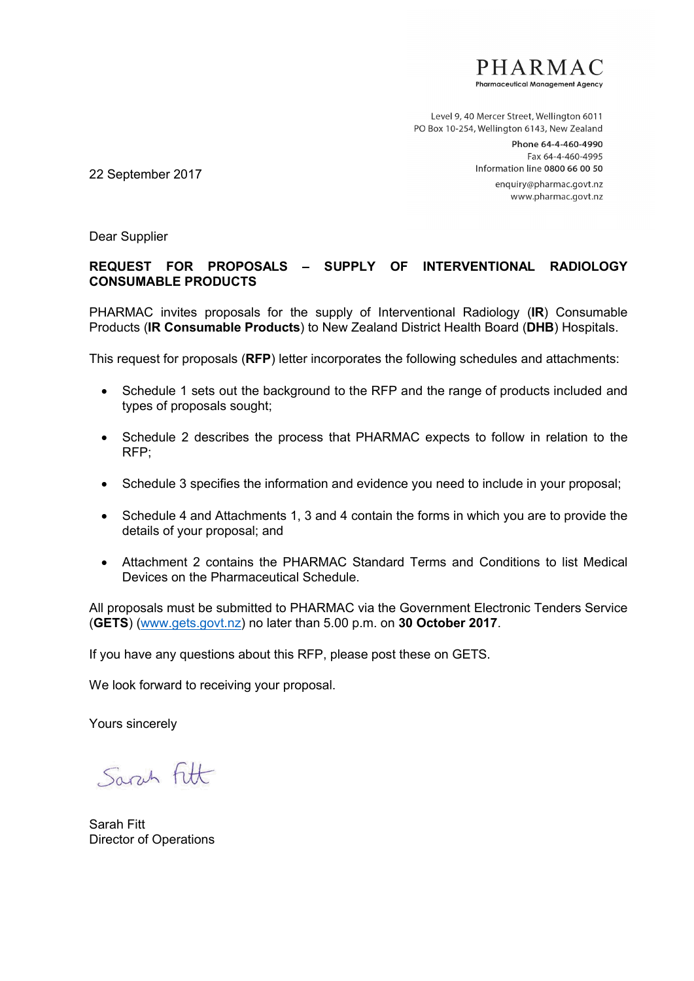

Level 9, 40 Mercer Street, Wellington 6011 PO Box 10-254, Wellington 6143, New Zealand

> Phone 64-4-460-4990 Fax 64-4-460-4995 Information line 0800 66 00 50 enquiry@pharmac.govt.nz

www.pharmac.govt.nz

22 September 2017

Dear Supplier

# **REQUEST FOR PROPOSALS – SUPPLY OF INTERVENTIONAL RADIOLOGY CONSUMABLE PRODUCTS**

PHARMAC invites proposals for the supply of Interventional Radiology (**IR**) Consumable Products (**IR Consumable Products**) to New Zealand District Health Board (**DHB**) Hospitals.

This request for proposals (**RFP**) letter incorporates the following schedules and attachments:

- Schedule 1 sets out the background to the RFP and the range of products included and types of proposals sought;
- Schedule 2 describes the process that PHARMAC expects to follow in relation to the RFP;
- Schedule 3 specifies the information and evidence you need to include in your proposal;
- Schedule 4 and Attachments 1, 3 and 4 contain the forms in which you are to provide the details of your proposal; and
- Attachment 2 contains the PHARMAC Standard Terms and Conditions to list Medical Devices on the Pharmaceutical Schedule.

All proposals must be submitted to PHARMAC via the Government Electronic Tenders Service (**GETS**) [\(www.gets.govt.nz\)](http://www.gets.govt.nz/) no later than 5.00 p.m. on **30 October 2017**.

If you have any questions about this RFP, please post these on GETS.

We look forward to receiving your proposal.

Yours sincerely

Sarch Fitt

Sarah Fitt Director of Operations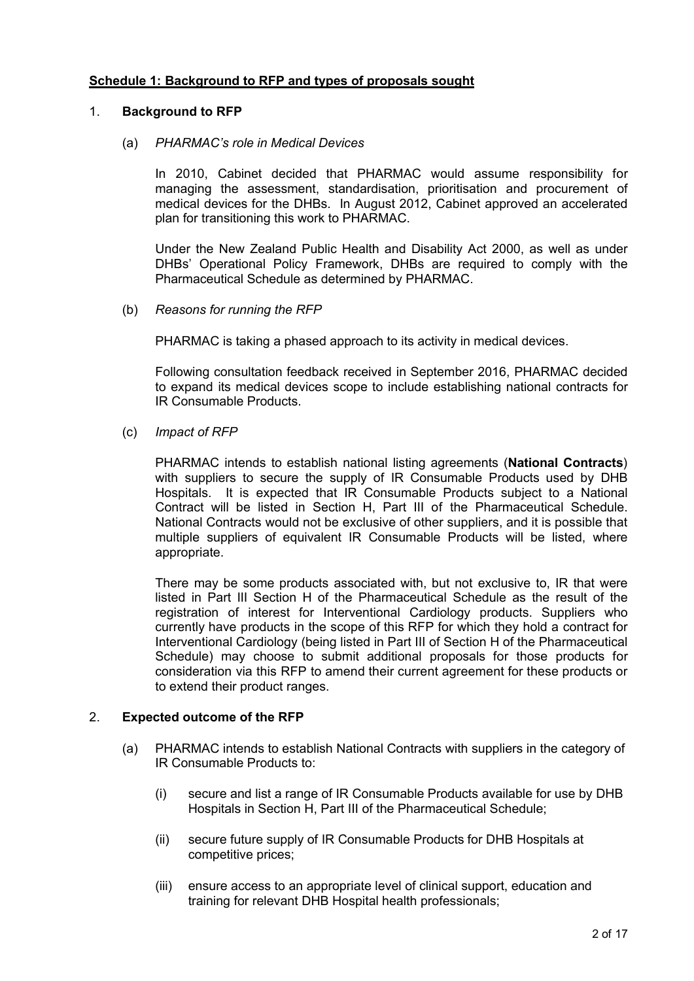## **Schedule 1: Background to RFP and types of proposals sought**

#### 1. **Background to RFP**

#### (a) *PHARMAC's role in Medical Devices*

In 2010, Cabinet decided that PHARMAC would assume responsibility for managing the assessment, standardisation, prioritisation and procurement of medical devices for the DHBs. In August 2012, Cabinet approved an accelerated plan for transitioning this work to PHARMAC.

Under the New Zealand Public Health and Disability Act 2000, as well as under DHBs' Operational Policy Framework, DHBs are required to comply with the Pharmaceutical Schedule as determined by PHARMAC.

(b) *Reasons for running the RFP*

PHARMAC is taking a phased approach to its activity in medical devices.

Following consultation feedback received in September 2016, PHARMAC decided to expand its medical devices scope to include establishing national contracts for IR Consumable Products.

#### (c) *Impact of RFP*

PHARMAC intends to establish national listing agreements (**National Contracts**) with suppliers to secure the supply of IR Consumable Products used by DHB Hospitals. It is expected that IR Consumable Products subject to a National Contract will be listed in Section H, Part III of the Pharmaceutical Schedule. National Contracts would not be exclusive of other suppliers, and it is possible that multiple suppliers of equivalent IR Consumable Products will be listed, where appropriate.

There may be some products associated with, but not exclusive to, IR that were listed in Part III Section H of the Pharmaceutical Schedule as the result of the registration of interest for Interventional Cardiology products. Suppliers who currently have products in the scope of this RFP for which they hold a contract for Interventional Cardiology (being listed in Part III of Section H of the Pharmaceutical Schedule) may choose to submit additional proposals for those products for consideration via this RFP to amend their current agreement for these products or to extend their product ranges.

## 2. **Expected outcome of the RFP**

- (a) PHARMAC intends to establish National Contracts with suppliers in the category of IR Consumable Products to:
	- (i) secure and list a range of IR Consumable Products available for use by DHB Hospitals in Section H, Part III of the Pharmaceutical Schedule;
	- (ii) secure future supply of IR Consumable Products for DHB Hospitals at competitive prices;
	- (iii) ensure access to an appropriate level of clinical support, education and training for relevant DHB Hospital health professionals;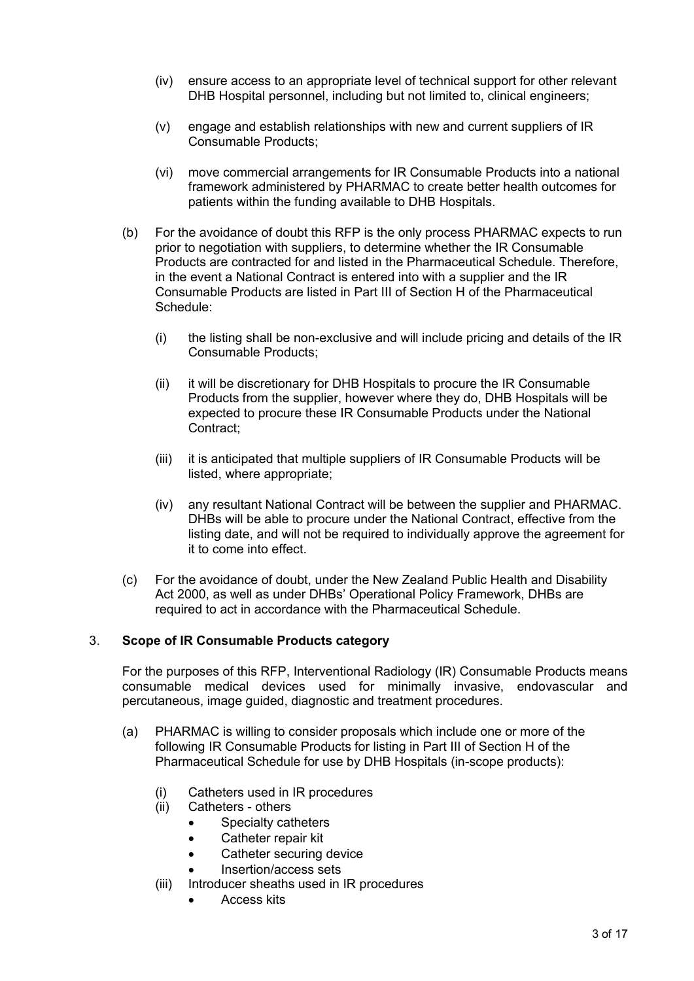- (iv) ensure access to an appropriate level of technical support for other relevant DHB Hospital personnel, including but not limited to, clinical engineers;
- (v) engage and establish relationships with new and current suppliers of IR Consumable Products;
- (vi) move commercial arrangements for IR Consumable Products into a national framework administered by PHARMAC to create better health outcomes for patients within the funding available to DHB Hospitals.
- (b) For the avoidance of doubt this RFP is the only process PHARMAC expects to run prior to negotiation with suppliers, to determine whether the IR Consumable Products are contracted for and listed in the Pharmaceutical Schedule. Therefore, in the event a National Contract is entered into with a supplier and the IR Consumable Products are listed in Part III of Section H of the Pharmaceutical Schedule:
	- (i) the listing shall be non-exclusive and will include pricing and details of the IR Consumable Products;
	- (ii) it will be discretionary for DHB Hospitals to procure the IR Consumable Products from the supplier, however where they do, DHB Hospitals will be expected to procure these IR Consumable Products under the National Contract;
	- (iii) it is anticipated that multiple suppliers of IR Consumable Products will be listed, where appropriate;
	- (iv) any resultant National Contract will be between the supplier and PHARMAC. DHBs will be able to procure under the National Contract, effective from the listing date, and will not be required to individually approve the agreement for it to come into effect.
- (c) For the avoidance of doubt, under the New Zealand Public Health and Disability Act 2000, as well as under DHBs' Operational Policy Framework, DHBs are required to act in accordance with the Pharmaceutical Schedule.

## 3. **Scope of IR Consumable Products category**

For the purposes of this RFP, Interventional Radiology (IR) Consumable Products means consumable medical devices used for minimally invasive, endovascular and percutaneous, image guided, diagnostic and treatment procedures.

- (a) PHARMAC is willing to consider proposals which include one or more of the following IR Consumable Products for listing in Part III of Section H of the Pharmaceutical Schedule for use by DHB Hospitals (in-scope products):
	- (i) Catheters used in IR procedures
	- (ii) Catheters others
		- Specialty catheters
		- Catheter repair kit
		- Catheter securing device
		- Insertion/access sets
	- (iii) Introducer sheaths used in IR procedures
		- Access kits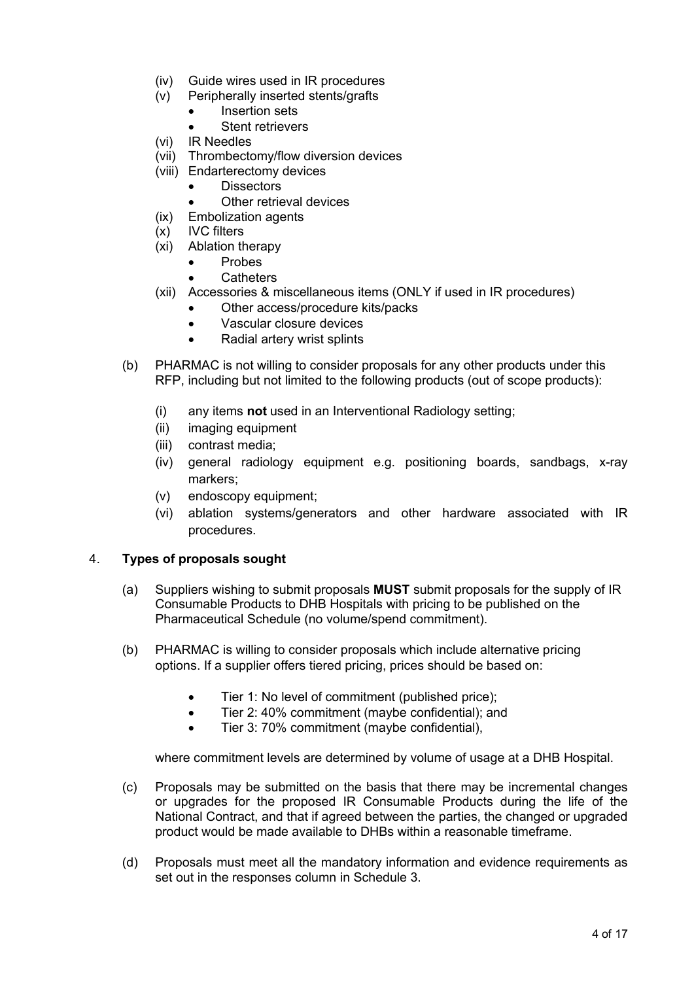- (iv) Guide wires used in IR procedures
- (v) Peripherally inserted stents/grafts
	- Insertion sets
	- Stent retrievers
- (vi) IR Needles
- (vii) Thrombectomy/flow diversion devices
- (viii) Endarterectomy devices
	- **Dissectors**
	- Other retrieval devices
- (ix) Embolization agents
- (x) IVC filters
- (xi) Ablation therapy
	- Probes
	- **Catheters**
- (xii) Accessories & miscellaneous items (ONLY if used in IR procedures)
	- Other access/procedure kits/packs
	- Vascular closure devices
	- Radial artery wrist splints
- (b) PHARMAC is not willing to consider proposals for any other products under this RFP, including but not limited to the following products (out of scope products):
	- (i) any items **not** used in an Interventional Radiology setting;
	- (ii) imaging equipment
	- (iii) contrast media;
	- (iv) general radiology equipment e.g. positioning boards, sandbags, x-ray markers;
	- (v) endoscopy equipment;
	- (vi) ablation systems/generators and other hardware associated with IR procedures.

## 4. **Types of proposals sought**

- (a) Suppliers wishing to submit proposals **MUST** submit proposals for the supply of IR Consumable Products to DHB Hospitals with pricing to be published on the Pharmaceutical Schedule (no volume/spend commitment).
- (b) PHARMAC is willing to consider proposals which include alternative pricing options. If a supplier offers tiered pricing, prices should be based on:
	- Tier 1: No level of commitment (published price);
	- Tier 2: 40% commitment (maybe confidential): and
	- Tier 3: 70% commitment (maybe confidential),

where commitment levels are determined by volume of usage at a DHB Hospital.

- (c) Proposals may be submitted on the basis that there may be incremental changes or upgrades for the proposed IR Consumable Products during the life of the National Contract, and that if agreed between the parties, the changed or upgraded product would be made available to DHBs within a reasonable timeframe.
- (d) Proposals must meet all the mandatory information and evidence requirements as set out in the responses column in Schedule 3.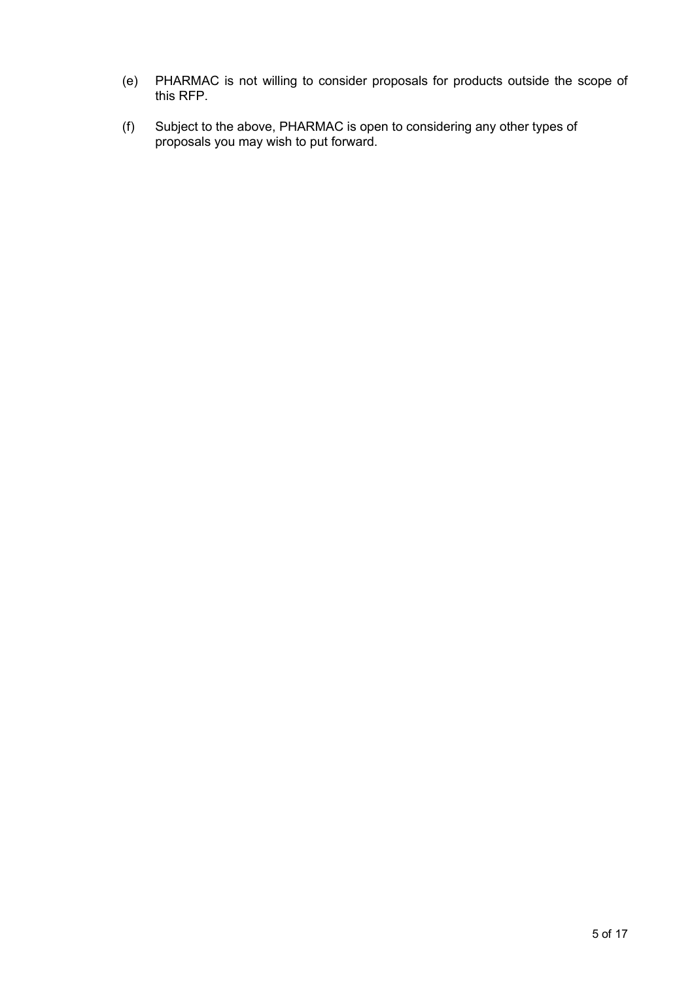- (e) PHARMAC is not willing to consider proposals for products outside the scope of this RFP.
- (f) Subject to the above, PHARMAC is open to considering any other types of proposals you may wish to put forward.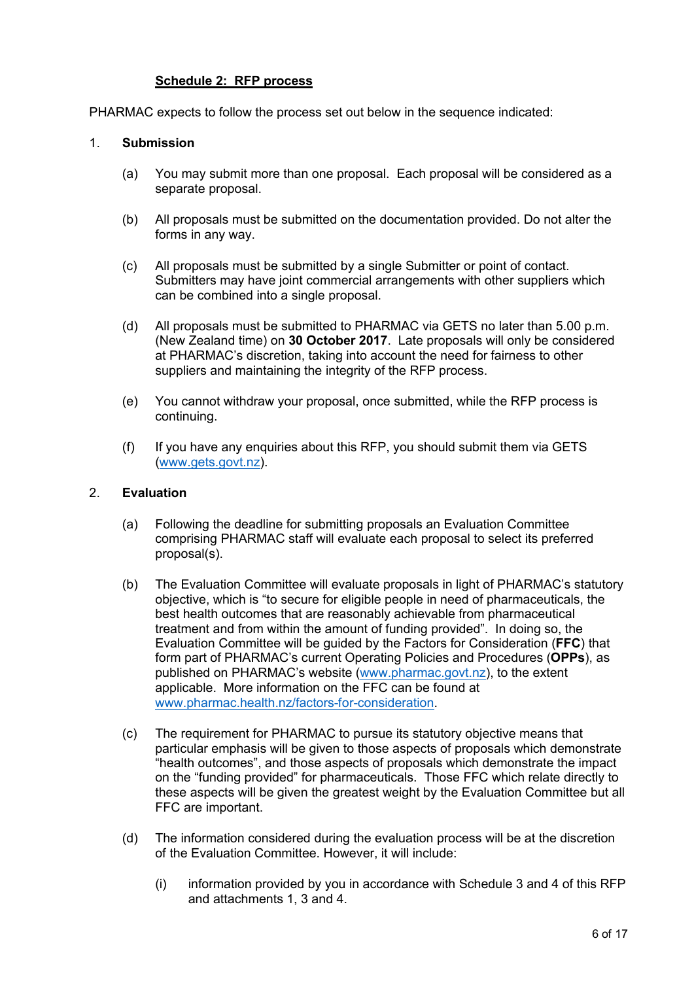# **Schedule 2: RFP process**

PHARMAC expects to follow the process set out below in the sequence indicated:

#### 1. **Submission**

- (a) You may submit more than one proposal. Each proposal will be considered as a separate proposal.
- (b) All proposals must be submitted on the documentation provided. Do not alter the forms in any way.
- (c) All proposals must be submitted by a single Submitter or point of contact. Submitters may have joint commercial arrangements with other suppliers which can be combined into a single proposal.
- (d) All proposals must be submitted to PHARMAC via GETS no later than 5.00 p.m. (New Zealand time) on **30 October 2017**. Late proposals will only be considered at PHARMAC's discretion, taking into account the need for fairness to other suppliers and maintaining the integrity of the RFP process.
- (e) You cannot withdraw your proposal, once submitted, while the RFP process is continuing.
- (f) If you have any enquiries about this RFP, you should submit them via GETS [\(www.gets.govt.nz\)](http://www.gets.govt.nz/).

#### 2. **Evaluation**

- (a) Following the deadline for submitting proposals an Evaluation Committee comprising PHARMAC staff will evaluate each proposal to select its preferred proposal(s).
- (b) The Evaluation Committee will evaluate proposals in light of PHARMAC's statutory objective, which is "to secure for eligible people in need of pharmaceuticals, the best health outcomes that are reasonably achievable from pharmaceutical treatment and from within the amount of funding provided". In doing so, the Evaluation Committee will be guided by the Factors for Consideration (**FFC**) that form part of PHARMAC's current Operating Policies and Procedures (**OPPs**), as published on PHARMAC's website [\(www.pharmac.govt.nz\)](http://www.pharmac.govt.nz/), to the extent applicable. More information on the FFC can be found at [www.pharmac.health.nz/factors-for-consideration.](http://www.pharmac.health.nz/factors-for-consideration)
- (c) The requirement for PHARMAC to pursue its statutory objective means that particular emphasis will be given to those aspects of proposals which demonstrate "health outcomes", and those aspects of proposals which demonstrate the impact on the "funding provided" for pharmaceuticals. Those FFC which relate directly to these aspects will be given the greatest weight by the Evaluation Committee but all FFC are important.
- (d) The information considered during the evaluation process will be at the discretion of the Evaluation Committee. However, it will include:
	- (i) information provided by you in accordance with Schedule 3 and 4 of this RFP and attachments 1, 3 and 4.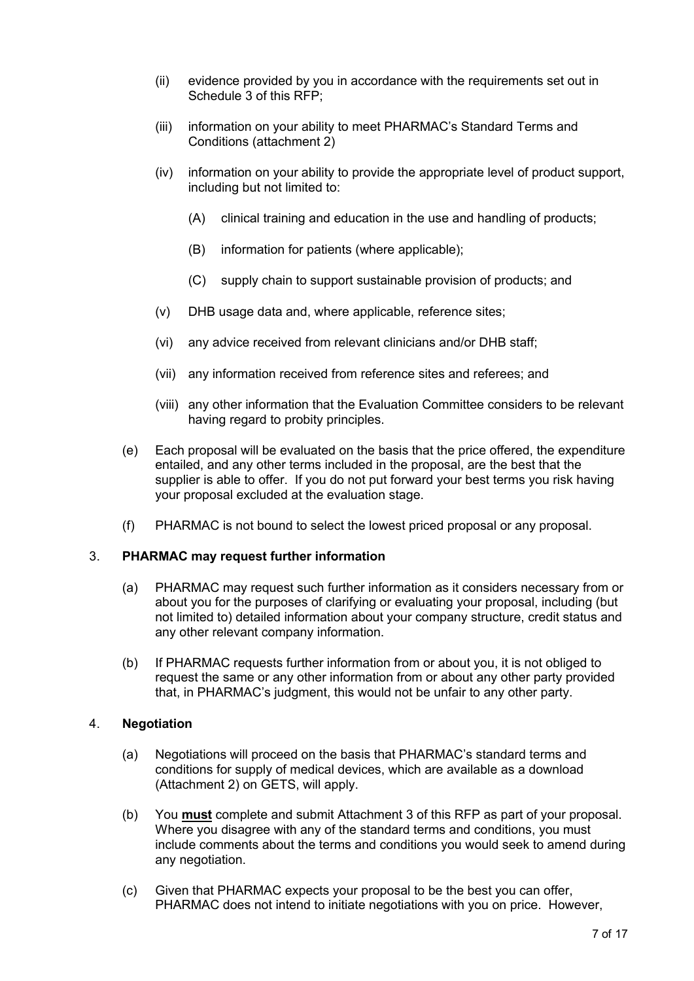- (ii) evidence provided by you in accordance with the requirements set out in Schedule 3 of this RFP;
- (iii) information on your ability to meet PHARMAC's Standard Terms and Conditions (attachment 2)
- (iv) information on your ability to provide the appropriate level of product support, including but not limited to:
	- (A) clinical training and education in the use and handling of products;
	- (B) information for patients (where applicable);
	- (C) supply chain to support sustainable provision of products; and
- (v) DHB usage data and, where applicable, reference sites;
- (vi) any advice received from relevant clinicians and/or DHB staff;
- (vii) any information received from reference sites and referees; and
- (viii) any other information that the Evaluation Committee considers to be relevant having regard to probity principles.
- (e) Each proposal will be evaluated on the basis that the price offered, the expenditure entailed, and any other terms included in the proposal, are the best that the supplier is able to offer. If you do not put forward your best terms you risk having your proposal excluded at the evaluation stage.
- (f) PHARMAC is not bound to select the lowest priced proposal or any proposal.

## 3. **PHARMAC may request further information**

- (a) PHARMAC may request such further information as it considers necessary from or about you for the purposes of clarifying or evaluating your proposal, including (but not limited to) detailed information about your company structure, credit status and any other relevant company information.
- (b) If PHARMAC requests further information from or about you, it is not obliged to request the same or any other information from or about any other party provided that, in PHARMAC's judgment, this would not be unfair to any other party.

## 4. **Negotiation**

- (a) Negotiations will proceed on the basis that PHARMAC's standard terms and conditions for supply of medical devices, which are available as a download (Attachment 2) on GETS, will apply.
- (b) You **must** complete and submit Attachment 3 of this RFP as part of your proposal. Where you disagree with any of the standard terms and conditions, you must include comments about the terms and conditions you would seek to amend during any negotiation.
- (c) Given that PHARMAC expects your proposal to be the best you can offer, PHARMAC does not intend to initiate negotiations with you on price. However,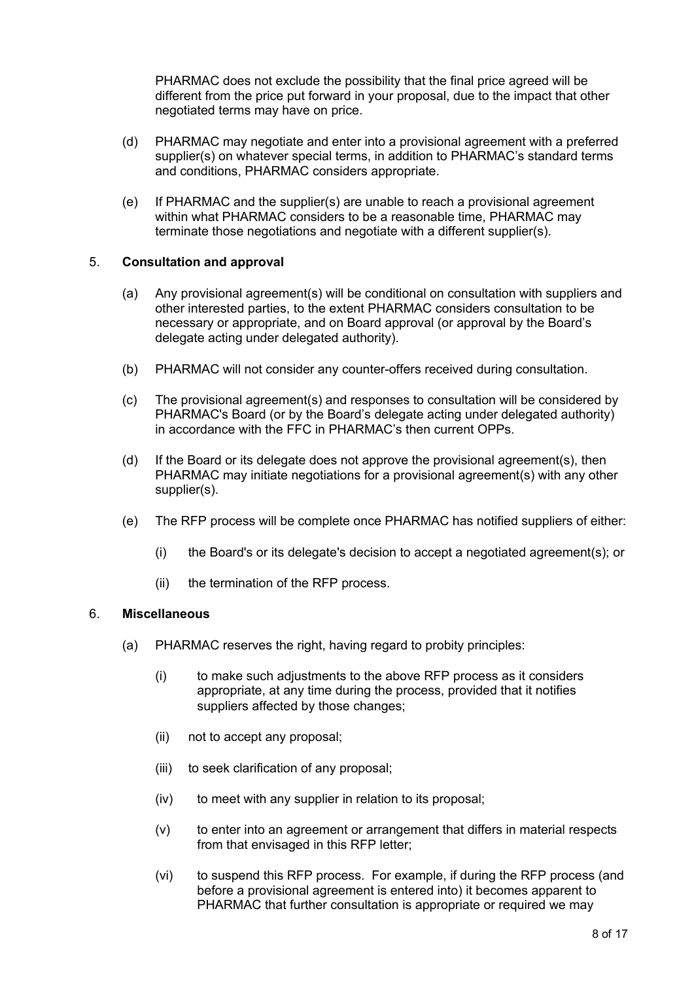PHARMAC does not exclude the possibility that the final price agreed will be different from the price put forward in your proposal, due to the impact that other negotiated terms may have on price.

- (d) PHARMAC may negotiate and enter into a provisional agreement with a preferred supplier(s) on whatever special terms, in addition to PHARMAC's standard terms and conditions, PHARMAC considers appropriate.
- (e) If PHARMAC and the supplier(s) are unable to reach a provisional agreement within what PHARMAC considers to be a reasonable time, PHARMAC may terminate those negotiations and negotiate with a different supplier(s).

## 5. **Consultation and approval**

- (a) Any provisional agreement(s) will be conditional on consultation with suppliers and other interested parties, to the extent PHARMAC considers consultation to be necessary or appropriate, and on Board approval (or approval by the Board's delegate acting under delegated authority).
- (b) PHARMAC will not consider any counter-offers received during consultation.
- (c) The provisional agreement(s) and responses to consultation will be considered by PHARMAC's Board (or by the Board's delegate acting under delegated authority) in accordance with the FFC in PHARMAC's then current OPPs.
- (d) If the Board or its delegate does not approve the provisional agreement(s), then PHARMAC may initiate negotiations for a provisional agreement(s) with any other supplier(s).
- (e) The RFP process will be complete once PHARMAC has notified suppliers of either:
	- (i) the Board's or its delegate's decision to accept a negotiated agreement(s); or
	- (ii) the termination of the RFP process.

#### 6. **Miscellaneous**

- (a) PHARMAC reserves the right, having regard to probity principles:
	- (i) to make such adjustments to the above RFP process as it considers appropriate, at any time during the process, provided that it notifies suppliers affected by those changes;
	- (ii) not to accept any proposal;
	- (iii) to seek clarification of any proposal;
	- (iv) to meet with any supplier in relation to its proposal;
	- (v) to enter into an agreement or arrangement that differs in material respects from that envisaged in this RFP letter;
	- (vi) to suspend this RFP process. For example, if during the RFP process (and before a provisional agreement is entered into) it becomes apparent to PHARMAC that further consultation is appropriate or required we may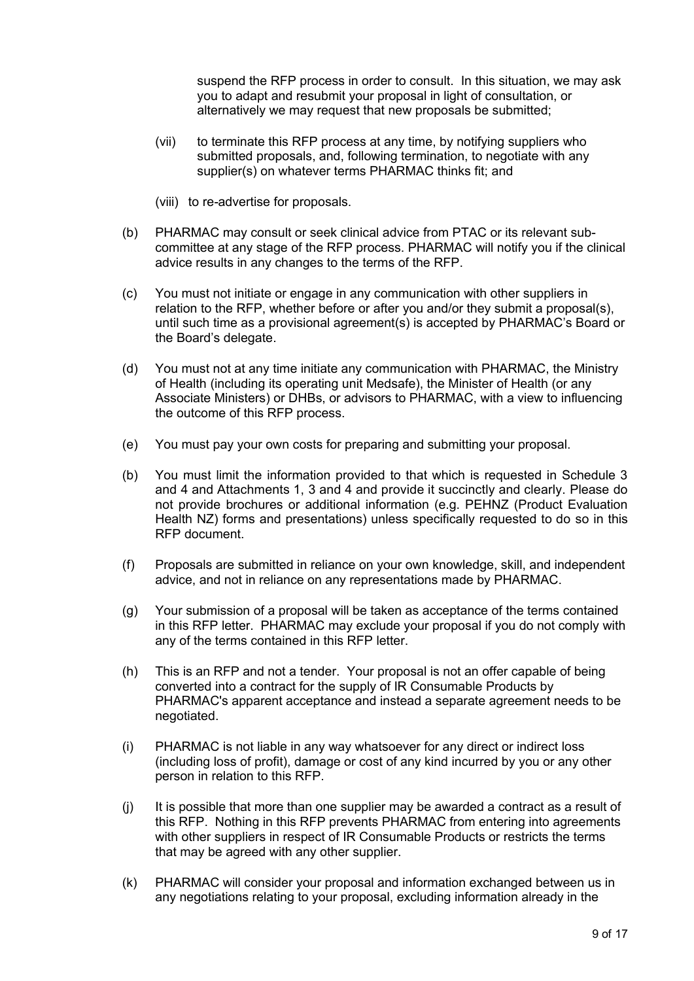suspend the RFP process in order to consult. In this situation, we may ask you to adapt and resubmit your proposal in light of consultation, or alternatively we may request that new proposals be submitted;

- (vii) to terminate this RFP process at any time, by notifying suppliers who submitted proposals, and, following termination, to negotiate with any supplier(s) on whatever terms PHARMAC thinks fit; and
- (viii) to re-advertise for proposals.
- (b) PHARMAC may consult or seek clinical advice from PTAC or its relevant subcommittee at any stage of the RFP process. PHARMAC will notify you if the clinical advice results in any changes to the terms of the RFP.
- (c) You must not initiate or engage in any communication with other suppliers in relation to the RFP, whether before or after you and/or they submit a proposal(s), until such time as a provisional agreement(s) is accepted by PHARMAC's Board or the Board's delegate.
- (d) You must not at any time initiate any communication with PHARMAC, the Ministry of Health (including its operating unit Medsafe), the Minister of Health (or any Associate Ministers) or DHBs, or advisors to PHARMAC, with a view to influencing the outcome of this RFP process.
- (e) You must pay your own costs for preparing and submitting your proposal.
- (b) You must limit the information provided to that which is requested in Schedule 3 and 4 and Attachments 1, 3 and 4 and provide it succinctly and clearly. Please do not provide brochures or additional information (e.g. PEHNZ (Product Evaluation Health NZ) forms and presentations) unless specifically requested to do so in this RFP document.
- (f) Proposals are submitted in reliance on your own knowledge, skill, and independent advice, and not in reliance on any representations made by PHARMAC.
- (g) Your submission of a proposal will be taken as acceptance of the terms contained in this RFP letter. PHARMAC may exclude your proposal if you do not comply with any of the terms contained in this RFP letter.
- (h) This is an RFP and not a tender. Your proposal is not an offer capable of being converted into a contract for the supply of IR Consumable Products by PHARMAC's apparent acceptance and instead a separate agreement needs to be negotiated.
- (i) PHARMAC is not liable in any way whatsoever for any direct or indirect loss (including loss of profit), damage or cost of any kind incurred by you or any other person in relation to this RFP.
- $(i)$  It is possible that more than one supplier may be awarded a contract as a result of this RFP. Nothing in this RFP prevents PHARMAC from entering into agreements with other suppliers in respect of IR Consumable Products or restricts the terms that may be agreed with any other supplier.
- (k) PHARMAC will consider your proposal and information exchanged between us in any negotiations relating to your proposal, excluding information already in the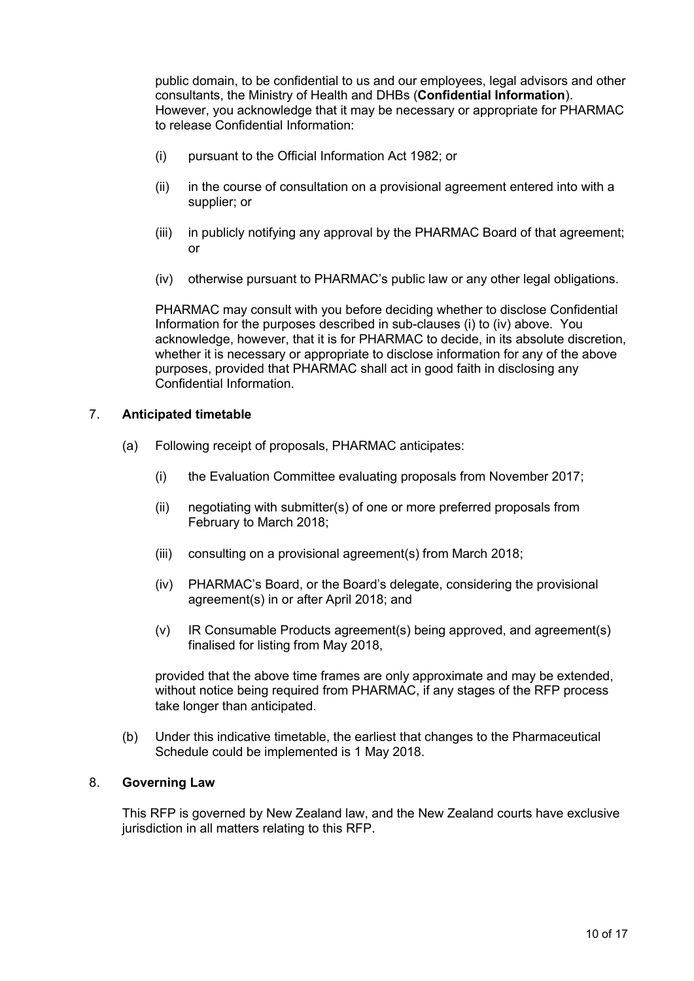public domain, to be confidential to us and our employees, legal advisors and other consultants, the Ministry of Health and DHBs (**Confidential Information**). However, you acknowledge that it may be necessary or appropriate for PHARMAC to release Confidential Information:

- (i) pursuant to the Official Information Act 1982; or
- (ii) in the course of consultation on a provisional agreement entered into with a supplier; or
- (iii) in publicly notifying any approval by the PHARMAC Board of that agreement; or
- (iv) otherwise pursuant to PHARMAC's public law or any other legal obligations.

PHARMAC may consult with you before deciding whether to disclose Confidential Information for the purposes described in sub-clauses (i) to (iv) above. You acknowledge, however, that it is for PHARMAC to decide, in its absolute discretion, whether it is necessary or appropriate to disclose information for any of the above purposes, provided that PHARMAC shall act in good faith in disclosing any Confidential Information.

#### 7. **Anticipated timetable**

- (a) Following receipt of proposals, PHARMAC anticipates:
	- (i) the Evaluation Committee evaluating proposals from November 2017;
	- (ii) negotiating with submitter(s) of one or more preferred proposals from February to March 2018;
	- (iii) consulting on a provisional agreement(s) from March 2018;
	- (iv) PHARMAC's Board, or the Board's delegate, considering the provisional agreement(s) in or after April 2018; and
	- (v) IR Consumable Products agreement(s) being approved, and agreement(s) finalised for listing from May 2018,

provided that the above time frames are only approximate and may be extended, without notice being required from PHARMAC, if any stages of the RFP process take longer than anticipated.

(b) Under this indicative timetable, the earliest that changes to the Pharmaceutical Schedule could be implemented is 1 May 2018.

#### 8. **Governing Law**

This RFP is governed by New Zealand law, and the New Zealand courts have exclusive jurisdiction in all matters relating to this RFP.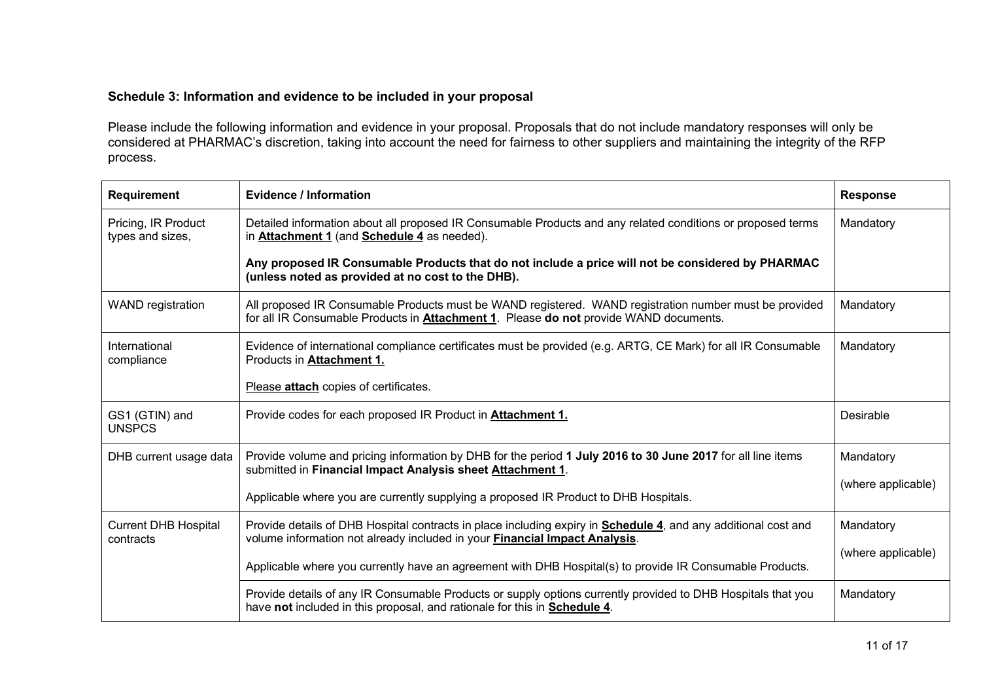# **Schedule 3: Information and evidence to be included in your proposal**

Please include the following information and evidence in your proposal. Proposals that do not include mandatory responses will only be considered at PHARMAC's discretion, taking into account the need for fairness to other suppliers and maintaining the integrity of the RFP process.

| <b>Requirement</b>                       | Evidence / Information                                                                                                                                                                                       | <b>Response</b>    |
|------------------------------------------|--------------------------------------------------------------------------------------------------------------------------------------------------------------------------------------------------------------|--------------------|
| Pricing, IR Product<br>types and sizes,  | Detailed information about all proposed IR Consumable Products and any related conditions or proposed terms<br>in <b>Attachment 1</b> (and <b>Schedule 4</b> as needed).                                     | Mandatory          |
|                                          | Any proposed IR Consumable Products that do not include a price will not be considered by PHARMAC<br>(unless noted as provided at no cost to the DHB).                                                       |                    |
| <b>WAND</b> registration                 | All proposed IR Consumable Products must be WAND registered. WAND registration number must be provided<br>for all IR Consumable Products in <b>Attachment 1</b> . Please do not provide WAND documents.      | Mandatory          |
| International<br>compliance              | Evidence of international compliance certificates must be provided (e.g. ARTG, CE Mark) for all IR Consumable<br>Products in <b>Attachment 1.</b>                                                            | Mandatory          |
|                                          | Please attach copies of certificates.                                                                                                                                                                        |                    |
| GS1 (GTIN) and<br><b>UNSPCS</b>          | Provide codes for each proposed IR Product in <b>Attachment 1.</b>                                                                                                                                           | Desirable          |
| DHB current usage data                   | Provide volume and pricing information by DHB for the period 1 July 2016 to 30 June 2017 for all line items<br>submitted in Financial Impact Analysis sheet Attachment 1.                                    | Mandatory          |
|                                          | Applicable where you are currently supplying a proposed IR Product to DHB Hospitals.                                                                                                                         | (where applicable) |
| <b>Current DHB Hospital</b><br>contracts | Provide details of DHB Hospital contracts in place including expiry in <b>Schedule 4</b> , and any additional cost and<br>volume information not already included in your <b>Financial Impact Analysis</b> . | Mandatory          |
|                                          | Applicable where you currently have an agreement with DHB Hospital(s) to provide IR Consumable Products.                                                                                                     | (where applicable) |
|                                          | Provide details of any IR Consumable Products or supply options currently provided to DHB Hospitals that you<br>have not included in this proposal, and rationale for this in <b>Schedule 4</b> .            | Mandatory          |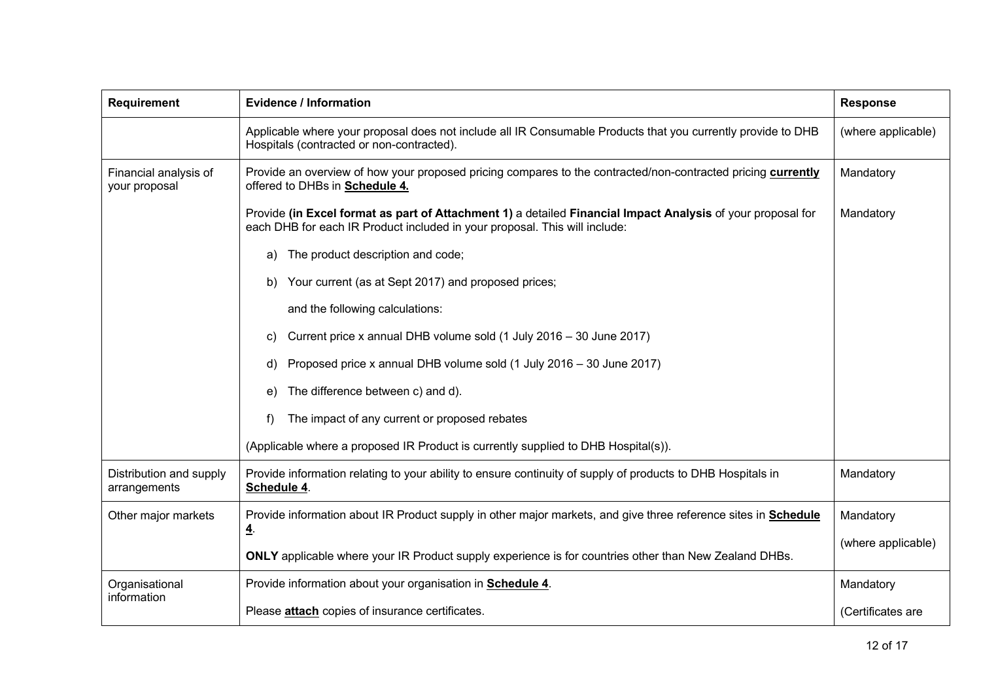| <b>Requirement</b>                      | <b>Evidence / Information</b>                                                                                                                                                             | <b>Response</b>    |
|-----------------------------------------|-------------------------------------------------------------------------------------------------------------------------------------------------------------------------------------------|--------------------|
|                                         | Applicable where your proposal does not include all IR Consumable Products that you currently provide to DHB<br>Hospitals (contracted or non-contracted).                                 | (where applicable) |
| Financial analysis of<br>your proposal  | Provide an overview of how your proposed pricing compares to the contracted/non-contracted pricing currently<br>offered to DHBs in <b>Schedule 4.</b>                                     | Mandatory          |
|                                         | Provide (in Excel format as part of Attachment 1) a detailed Financial Impact Analysis of your proposal for<br>each DHB for each IR Product included in your proposal. This will include: | Mandatory          |
|                                         | The product description and code;<br>a)                                                                                                                                                   |                    |
|                                         | Your current (as at Sept 2017) and proposed prices;<br>b)                                                                                                                                 |                    |
|                                         | and the following calculations:                                                                                                                                                           |                    |
|                                         | Current price x annual DHB volume sold (1 July 2016 - 30 June 2017)<br>C)                                                                                                                 |                    |
|                                         | Proposed price x annual DHB volume sold (1 July 2016 - 30 June 2017)<br>d)                                                                                                                |                    |
|                                         | The difference between c) and d).<br>e)                                                                                                                                                   |                    |
|                                         | The impact of any current or proposed rebates<br>f)                                                                                                                                       |                    |
|                                         | (Applicable where a proposed IR Product is currently supplied to DHB Hospital(s)).                                                                                                        |                    |
| Distribution and supply<br>arrangements | Provide information relating to your ability to ensure continuity of supply of products to DHB Hospitals in<br>Mandatory<br>Schedule 4.                                                   |                    |
| Other major markets                     | Provide information about IR Product supply in other major markets, and give three reference sites in Schedule                                                                            | Mandatory          |
|                                         | ₫.<br>ONLY applicable where your IR Product supply experience is for countries other than New Zealand DHBs.                                                                               | (where applicable) |
| Organisational<br>information           | Provide information about your organisation in <b>Schedule 4</b> .                                                                                                                        | Mandatory          |
|                                         | Please <b>attach</b> copies of insurance certificates.                                                                                                                                    | (Certificates are  |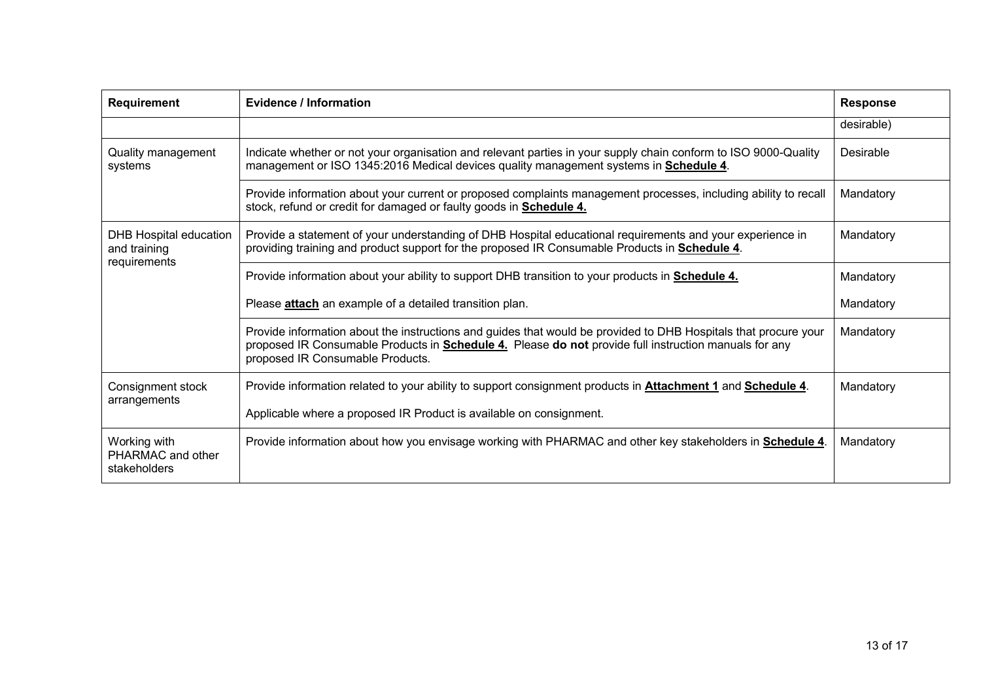| <b>Requirement</b>                                            | Evidence / Information                                                                                                                                                                                                                                              | <b>Response</b> |
|---------------------------------------------------------------|---------------------------------------------------------------------------------------------------------------------------------------------------------------------------------------------------------------------------------------------------------------------|-----------------|
|                                                               |                                                                                                                                                                                                                                                                     | desirable)      |
| Quality management<br>systems                                 | Indicate whether or not your organisation and relevant parties in your supply chain conform to ISO 9000-Quality<br>management or ISO 1345:2016 Medical devices quality management systems in <b>Schedule 4</b> .                                                    | Desirable       |
|                                                               | Provide information about your current or proposed complaints management processes, including ability to recall<br>stock, refund or credit for damaged or faulty goods in <b>Schedule 4.</b>                                                                        | Mandatory       |
| <b>DHB Hospital education</b><br>and training<br>requirements | Provide a statement of your understanding of DHB Hospital educational requirements and your experience in<br>providing training and product support for the proposed IR Consumable Products in Schedule 4.                                                          | Mandatory       |
|                                                               | Provide information about your ability to support DHB transition to your products in <b>Schedule 4.</b>                                                                                                                                                             | Mandatory       |
|                                                               | Please <b>attach</b> an example of a detailed transition plan.                                                                                                                                                                                                      | Mandatory       |
|                                                               | Provide information about the instructions and guides that would be provided to DHB Hospitals that procure your<br>proposed IR Consumable Products in <b>Schedule 4.</b> Please do not provide full instruction manuals for any<br>proposed IR Consumable Products. | Mandatory       |
| Consignment stock<br>arrangements                             | Provide information related to your ability to support consignment products in <b>Attachment 1</b> and <b>Schedule 4</b> .                                                                                                                                          | Mandatory       |
|                                                               | Applicable where a proposed IR Product is available on consignment.                                                                                                                                                                                                 |                 |
| Working with<br>PHARMAC and other<br>stakeholders             | Provide information about how you envisage working with PHARMAC and other key stakeholders in <b>Schedule 4</b> .                                                                                                                                                   | Mandatory       |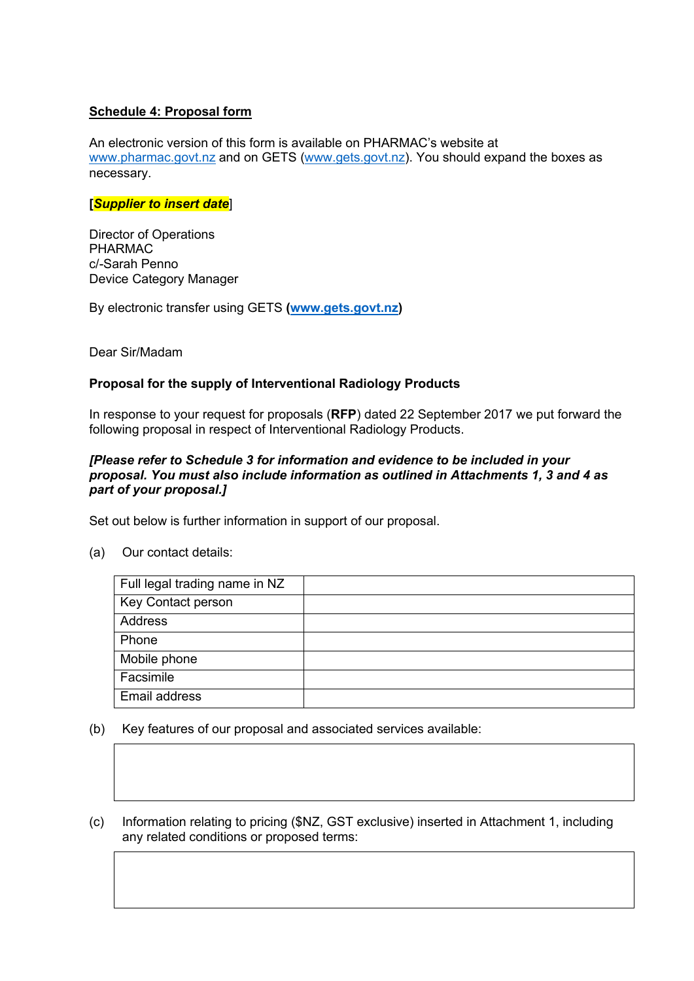# **Schedule 4: Proposal form**

An electronic version of this form is available on PHARMAC's website at [www.pharmac.govt.nz](http://www.pharmac.govt.nz/) and on GETS [\(www.gets.govt.nz\)](http://www.gets.govt.nz/). You should expand the boxes as necessary.

#### **[***Supplier to insert date*]

Director of Operations PHARMAC c/-Sarah Penno Device Category Manager

By electronic transfer using GETS **[\(www.gets.govt.nz\)](http://www.gets.govt.nz/)**

Dear Sir/Madam

## **Proposal for the supply of Interventional Radiology Products**

In response to your request for proposals (**RFP**) dated 22 September 2017 we put forward the following proposal in respect of Interventional Radiology Products.

#### *[Please refer to Schedule 3 for information and evidence to be included in your proposal. You must also include information as outlined in Attachments 1, 3 and 4 as part of your proposal.]*

Set out below is further information in support of our proposal.

(a) Our contact details:

| Full legal trading name in NZ |  |
|-------------------------------|--|
| Key Contact person            |  |
| Address                       |  |
| Phone                         |  |
| Mobile phone                  |  |
| Facsimile                     |  |
| Email address                 |  |

- (b) Key features of our proposal and associated services available:
- (c) Information relating to pricing (\$NZ, GST exclusive) inserted in Attachment 1, including any related conditions or proposed terms: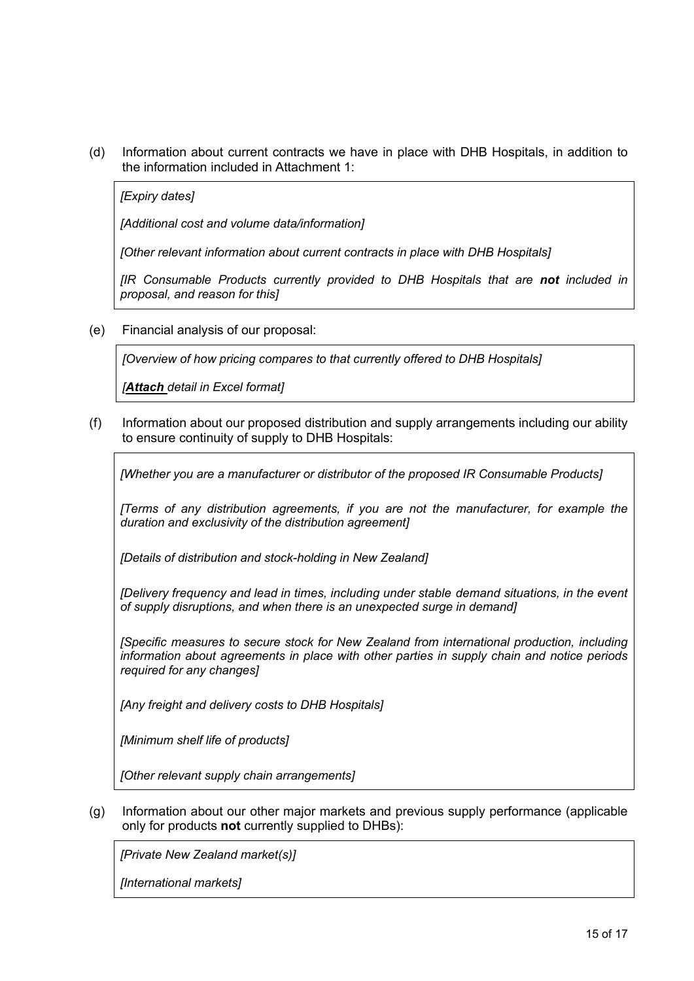(d) Information about current contracts we have in place with DHB Hospitals, in addition to the information included in Attachment 1:

*[Expiry dates]*

*[Additional cost and volume data/information]*

*[Other relevant information about current contracts in place with DHB Hospitals]*

*[IR Consumable Products currently provided to DHB Hospitals that are not included in proposal, and reason for this]*

(e) Financial analysis of our proposal:

*[Overview of how pricing compares to that currently offered to DHB Hospitals]*

*[Attach detail in Excel format]*

(f) Information about our proposed distribution and supply arrangements including our ability to ensure continuity of supply to DHB Hospitals:

*[Whether you are a manufacturer or distributor of the proposed IR Consumable Products]*

*[Terms of any distribution agreements, if you are not the manufacturer, for example the duration and exclusivity of the distribution agreement]*

*[Details of distribution and stock-holding in New Zealand]*

*[Delivery frequency and lead in times, including under stable demand situations, in the event of supply disruptions, and when there is an unexpected surge in demand]*

*[Specific measures to secure stock for New Zealand from international production, including information about agreements in place with other parties in supply chain and notice periods required for any changes]*

*[Any freight and delivery costs to DHB Hospitals]*

*[Minimum shelf life of products]*

*[Other relevant supply chain arrangements]*

(g) Information about our other major markets and previous supply performance (applicable only for products **not** currently supplied to DHBs):

*[Private New Zealand market(s)]*

*[International markets]*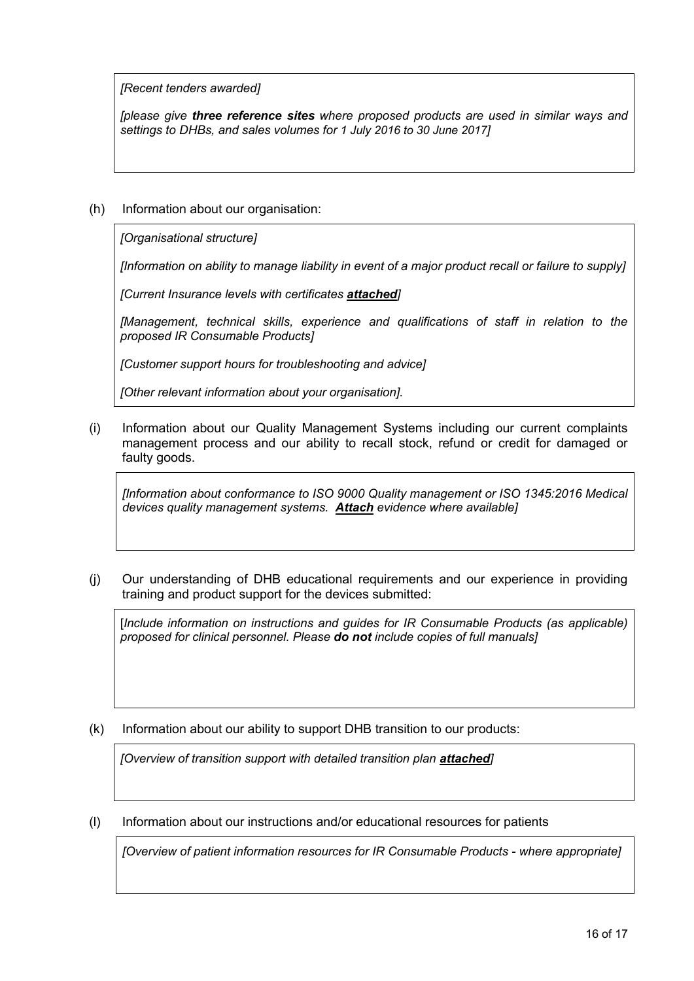*[Recent tenders awarded]*

*[please give three reference sites where proposed products are used in similar ways and settings to DHBs, and sales volumes for 1 July 2016 to 30 June 2017]*

# (h) Information about our organisation:

*[Organisational structure]*

*[Information on ability to manage liability in event of a major product recall or failure to supply]*

*[Current Insurance levels with certificates attached]*

*[Management, technical skills, experience and qualifications of staff in relation to the proposed IR Consumable Products]*

*[Customer support hours for troubleshooting and advice]*

*[Other relevant information about your organisation].* 

(i) Information about our Quality Management Systems including our current complaints management process and our ability to recall stock, refund or credit for damaged or faulty goods.

*[Information about conformance to ISO 9000 Quality management or ISO 1345:2016 Medical devices quality management systems. Attach evidence where available]*

(j) Our understanding of DHB educational requirements and our experience in providing training and product support for the devices submitted:

[*Include information on instructions and guides for IR Consumable Products (as applicable) proposed for clinical personnel. Please do not include copies of full manuals]* 

(k) Information about our ability to support DHB transition to our products:

*[Overview of transition support with detailed transition plan attached]* 

(l) Information about our instructions and/or educational resources for patients

*[Overview of patient information resources for IR Consumable Products - where appropriate]*